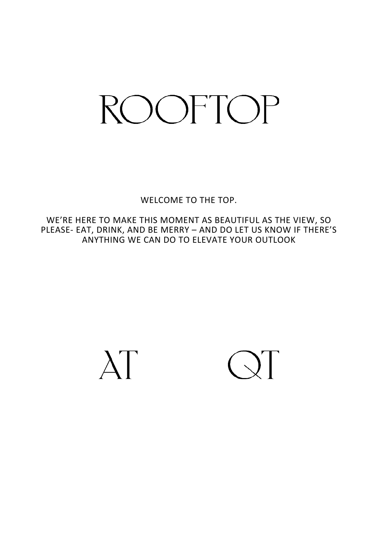# **ROOFTOP**

WELCOME TO THE TOP.

WE'RE HERE TO MAKE THIS MOMENT AS BEAUTIFUL AS THE VIEW, SO PLEASE- EAT, DRINK, AND BE MERRY – AND DO LET US KNOW IF THERE'S ANYTHING WE CAN DO TO ELEVATE YOUR OUTLOOK



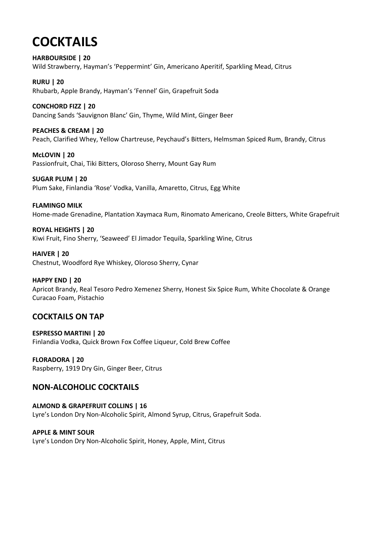# **COCKTAILS**

**HARBOURSIDE | 20** Wild Strawberry, Hayman's 'Peppermint' Gin, Americano Aperitif, Sparkling Mead, Citrus

**RURU | 20** Rhubarb, Apple Brandy, Hayman's 'Fennel' Gin, Grapefruit Soda

**CONCHORD FIZZ | 20** Dancing Sands 'Sauvignon Blanc' Gin, Thyme, Wild Mint, Ginger Beer

**PEACHES & CREAM | 20** Peach, Clarified Whey, Yellow Chartreuse, Peychaud's Bitters, Helmsman Spiced Rum, Brandy, Citrus

**McLOVIN | 20** Passionfruit, Chai, Tiki Bitters, Oloroso Sherry, Mount Gay Rum

**SUGAR PLUM | 20** Plum Sake, Finlandia 'Rose' Vodka, Vanilla, Amaretto, Citrus, Egg White

**FLAMINGO MILK**

Home-made Grenadine, Plantation Xaymaca Rum, Rinomato Americano, Creole Bitters, White Grapefruit

**ROYAL HEIGHTS | 20** Kiwi Fruit, Fino Sherry, 'Seaweed' El Jimador Tequila, Sparkling Wine, Citrus

**HAIVER | 20** Chestnut, Woodford Rye Whiskey, Oloroso Sherry, Cynar

**HAPPY END | 20** Apricot Brandy, Real Tesoro Pedro Xemenez Sherry, Honest Six Spice Rum, White Chocolate & Orange Curacao Foam, Pistachio

# **COCKTAILS ON TAP**

**ESPRESSO MARTINI | 20** Finlandia Vodka, Quick Brown Fox Coffee Liqueur, Cold Brew Coffee

**FLORADORA | 20** Raspberry, 1919 Dry Gin, Ginger Beer, Citrus

# **NON-ALCOHOLIC COCKTAILS**

**ALMOND & GRAPEFRUIT COLLINS | 16** Lyre's London Dry Non-Alcoholic Spirit, Almond Syrup, Citrus, Grapefruit Soda.

**APPLE & MINT SOUR** Lyre's London Dry Non-Alcoholic Spirit, Honey, Apple, Mint, Citrus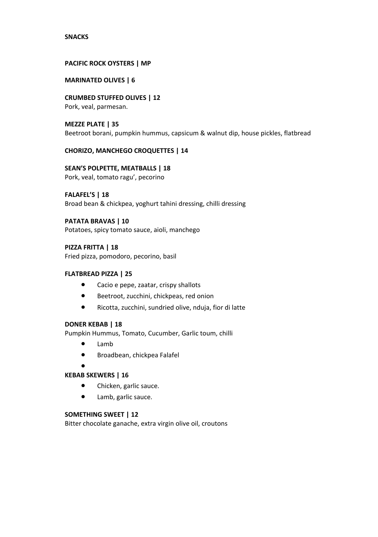#### **SNACKS**

#### **PACIFIC ROCK OYSTERS | MP**

# **MARINATED OLIVES | 6**

**CRUMBED STUFFED OLIVES | 12** Pork, veal, parmesan.

**MEZZE PLATE | 35** Beetroot borani, pumpkin hummus, capsicum & walnut dip, house pickles, flatbread

#### **CHORIZO, MANCHEGO CROQUETTES | 14**

**SEAN'S POLPETTE, MEATBALLS | 18** Pork, veal, tomato ragu', pecorino

**FALAFEL'S | 18**

Broad bean & chickpea, yoghurt tahini dressing, chilli dressing

#### **PATATA BRAVAS | 10**

Potatoes, spicy tomato sauce, aioli, manchego

#### **PIZZA FRITTA | 18**

Fried pizza, pomodoro, pecorino, basil

#### **FLATBREAD PIZZA | 25**

- Cacio e pepe, zaatar, crispy shallots
- Beetroot, zucchini, chickpeas, red onion
- Ricotta, zucchini, sundried olive, nduja, fior di latte

#### **DONER KEBAB | 18**

Pumpkin Hummus, Tomato, Cucumber, Garlic toum, chilli

- Lamb
- Broadbean, chickpea Falafel
- •

# **KEBAB SKEWERS | 16**

- Chicken, garlic sauce.
- Lamb, garlic sauce.

#### **SOMETHING SWEET | 12**

Bitter chocolate ganache, extra virgin olive oil, croutons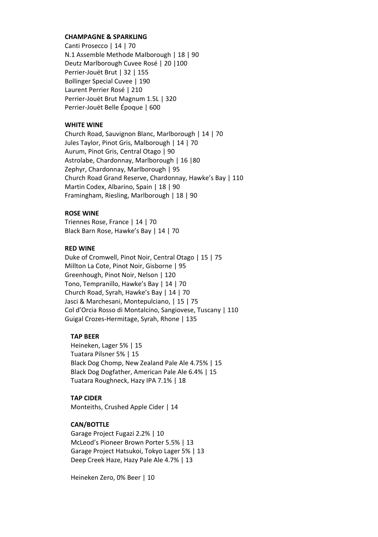# **CHAMPAGNE & SPARKLING**

Canti Prosecco | 14 | 70 N.1 Assemble Methode Malborough | 18 | 90 Deutz Marlborough Cuvee Rosé | 20 |100 Perrier-Jouët Brut | 32 | 155 Bollinger Special Cuvee | 190 Laurent Perrier Rosé | 210 Perrier-Jouët Brut Magnum 1.5L | 320 Perrier-Jouët Belle Époque | 600

#### **WHITE WINE**

Church Road, Sauvignon Blanc, Marlborough | 14 | 70 Jules Taylor, Pinot Gris, Malborough | 14 | 70 Aurum, Pinot Gris, Central Otago | 90 Astrolabe, Chardonnay, Marlborough | 16 |80 Zephyr, Chardonnay, Marlborough | 95 Church Road Grand Reserve, Chardonnay, Hawke's Bay | 110 Martin Codex, Albarino, Spain | 18 | 90 Framingham, Riesling, Marlborough | 18 | 90

# **ROSE WINE**

Triennes Rose, France | 14 | 70 Black Barn Rose, Hawke's Bay | 14 | 70

#### **RED WINE**

Duke of Cromwell, Pinot Noir, Central Otago | 15 | 75 Millton La Cote, Pinot Noir, Gisborne | 95 Greenhough, Pinot Noir, Nelson | 120 Tono, Tempranillo, Hawke's Bay | 14 | 70 Church Road, Syrah, Hawke's Bay | 14 | 70 Jasci & Marchesani, Montepulciano, | 15 | 75 Col d'Orcia Rosso di Montalcino, Sangiovese, Tuscany | 110 Guigal Crozes-Hermitage, Syrah, Rhone | 135

#### **TAP BEER**

Heineken, Lager 5% | 15 Tuatara Pilsner 5% | 15 Black Dog Chomp, New Zealand Pale Ale 4.75% | 15 Black Dog Dogfather, American Pale Ale 6.4% | 15 Tuatara Roughneck, Hazy IPA 7.1% | 18

# **TAP CIDER**

Monteiths, Crushed Apple Cider | 14

#### **CAN/BOTTLE**

Garage Project Fugazi 2.2% | 10 McLeod's Pioneer Brown Porter 5.5% | 13 Garage Project Hatsukoi, Tokyo Lager 5% | 13 Deep Creek Haze, Hazy Pale Ale 4.7% | 13

Heineken Zero, 0% Beer | 10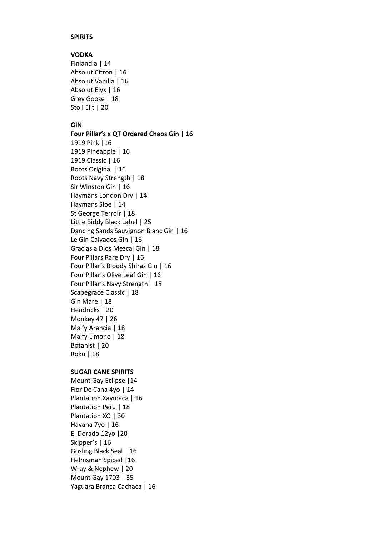# **SPIRITS**

# **VODKA**

Finlandia | 14 Absolut Citron | 16 Absolut Vanilla | 16 Absolut Elyx | 16 Grey Goose | 18 Stoli Elit | 20

# **GIN**

**Four Pillar's x QT Ordered Chaos Gin | 16** 1919 Pink |16 1919 Pineapple | 16 1919 Classic | 16 Roots Original | 16 Roots Navy Strength | 18 Sir Winston Gin | 16 Haymans London Dry | 14 Haymans Sloe | 14 St George Terroir | 18 Little Biddy Black Label | 25 Dancing Sands Sauvignon Blanc Gin | 16 Le Gin Calvados Gin | 16 Gracias a Dios Mezcal Gin | 18 Four Pillars Rare Dry | 16 Four Pillar's Bloody Shiraz Gin | 16 Four Pillar's Olive Leaf Gin | 16 Four Pillar's Navy Strength | 18 Scapegrace Classic | 18 Gin Mare | 18 Hendricks | 20 Monkey 47 | 26 Malfy Arancia | 18 Malfy Limone | 18 Botanist | 20 Roku | 18

# **SUGAR CANE SPIRITS**

Mount Gay Eclipse |14 Flor De Cana 4yo | 14 Plantation Xaymaca | 16 Plantation Peru | 18 Plantation XO | 30 Havana 7yo | 16 El Dorado 12yo |20 Skipper's | 16 Gosling Black Seal | 16 Helmsman Spiced |16 Wray & Nephew | 20 Mount Gay 1703 | 35 Yaguara Branca Cachaca | 16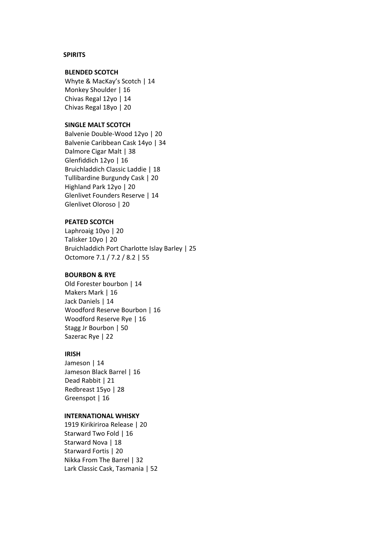#### **SPIRITS**

# **BLENDED SCOTCH**

Whyte & MacKay's Scotch | 14 Monkey Shoulder | 16 Chivas Regal 12yo | 14 Chivas Regal 18yo | 20

# **SINGLE MALT SCOTCH**

Balvenie Double-Wood 12yo | 20 Balvenie Caribbean Cask 14yo | 34 Dalmore Cigar Malt | 38 Glenfiddich 12yo | 16 Bruichladdich Classic Laddie | 18 Tullibardine Burgundy Cask | 20 Highland Park 12yo | 20 Glenlivet Founders Reserve | 14 Glenlivet Oloroso | 20

#### **PEATED SCOTCH**

Laphroaig 10yo | 20 Talisker 10yo | 20 Bruichladdich Port Charlotte Islay Barley | 25 Octomore 7.1 / 7.2 / 8.2 | 55

#### **BOURBON & RYE**

Old Forester bourbon | 14 Makers Mark | 16 Jack Daniels | 14 Woodford Reserve Bourbon | 16 Woodford Reserve Rye | 16 Stagg Jr Bourbon | 50 Sazerac Rye | 22

### **IRISH**

Jameson | 14 Jameson Black Barrel | 16 Dead Rabbit | 21 Redbreast 15yo | 28 Greenspot | 16

#### **INTERNATIONAL WHISKY**

1919 Kirikiriroa Release | 20 Starward Two Fold | 16 Starward Nova | 18 Starward Fortis | 20 Nikka From The Barrel | 32 Lark Classic Cask, Tasmania | 52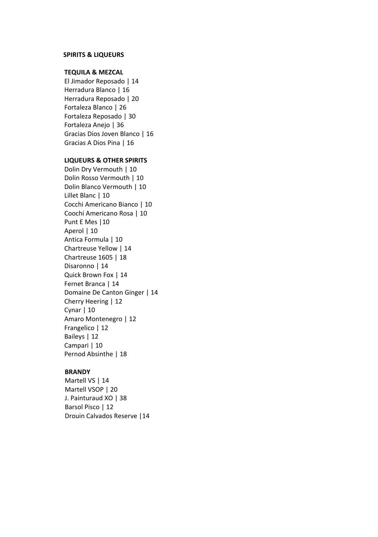#### **SPIRITS & LIQUEURS**

# **TEQUILA & MEZCAL**

El Jimador Reposado | 14 Herradura Blanco | 16 Herradura Reposado | 20 Fortaleza Blanco | 26 Fortaleza Reposado | 30 Fortaleza Anejo | 36 Gracias Dios Joven Blanco | 16 Gracias A Dios Pina | 16

#### **LIQUEURS & OTHER SPIRITS**

Dolin Dry Vermouth | 10 Dolin Rosso Vermouth | 10 Dolin Blanco Vermouth | 10 Lillet Blanc | 10 Cocchi Americano Bianco | 10 Coochi Americano Rosa | 10 Punt E Mes | 10 Aperol | 10 Antica Formula | 10 Chartreuse Yellow | 14 Chartreuse 1605 | 18 Disaronno | 14 Quick Brown Fox | 14 Fernet Branca | 14 Domaine De Canton Ginger | 14 Cherry Heering | 12 Cynar | 10 Amaro Montenegro | 12 Frangelico | 12 Baileys | 12 Campari | 10 Pernod Absinthe | 18

#### **BRANDY**

Martell VS | 14 Martell VSOP | 20 J. Painturaud XO | 38 Barsol Pisco | 12 Drouin Calvados Reserve |14